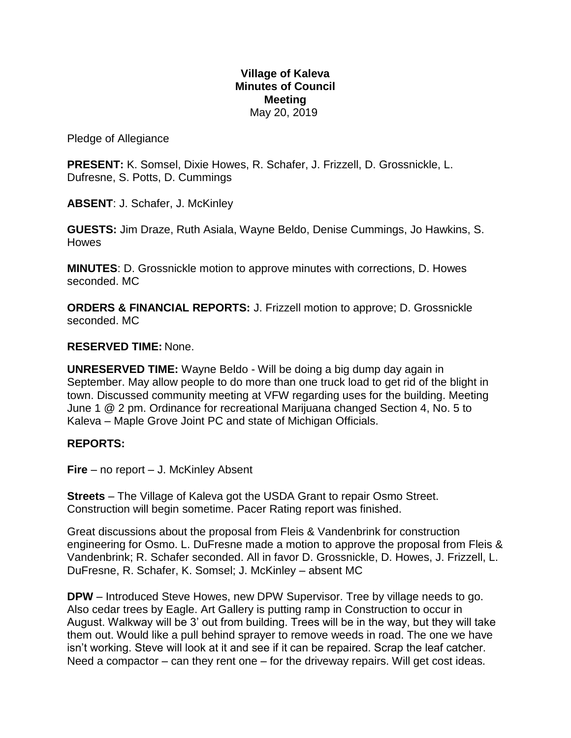### **Village of Kaleva Minutes of Council Meeting** May 20, 2019

Pledge of Allegiance

**PRESENT:** K. Somsel, Dixie Howes, R. Schafer, J. Frizzell, D. Grossnickle, L. Dufresne, S. Potts, D. Cummings

**ABSENT**: J. Schafer, J. McKinley

**GUESTS:** Jim Draze, Ruth Asiala, Wayne Beldo, Denise Cummings, Jo Hawkins, S. Howes

**MINUTES**: D. Grossnickle motion to approve minutes with corrections, D. Howes seconded. MC

**ORDERS & FINANCIAL REPORTS:** J. Frizzell motion to approve; D. Grossnickle seconded. MC

# **RESERVED TIME:** None.

**UNRESERVED TIME:** Wayne Beldo - Will be doing a big dump day again in September. May allow people to do more than one truck load to get rid of the blight in town. Discussed community meeting at VFW regarding uses for the building. Meeting June 1 @ 2 pm. Ordinance for recreational Marijuana changed Section 4, No. 5 to Kaleva – Maple Grove Joint PC and state of Michigan Officials.

# **REPORTS:**

**Fire** – no report – J. McKinley Absent

**Streets** – The Village of Kaleva got the USDA Grant to repair Osmo Street. Construction will begin sometime. Pacer Rating report was finished.

Great discussions about the proposal from Fleis & Vandenbrink for construction engineering for Osmo. L. DuFresne made a motion to approve the proposal from Fleis & Vandenbrink; R. Schafer seconded. All in favor D. Grossnickle, D. Howes, J. Frizzell, L. DuFresne, R. Schafer, K. Somsel; J. McKinley – absent MC

**DPW** – Introduced Steve Howes, new DPW Supervisor. Tree by village needs to go. Also cedar trees by Eagle. Art Gallery is putting ramp in Construction to occur in August. Walkway will be 3' out from building. Trees will be in the way, but they will take them out. Would like a pull behind sprayer to remove weeds in road. The one we have isn't working. Steve will look at it and see if it can be repaired. Scrap the leaf catcher. Need a compactor – can they rent one – for the driveway repairs. Will get cost ideas.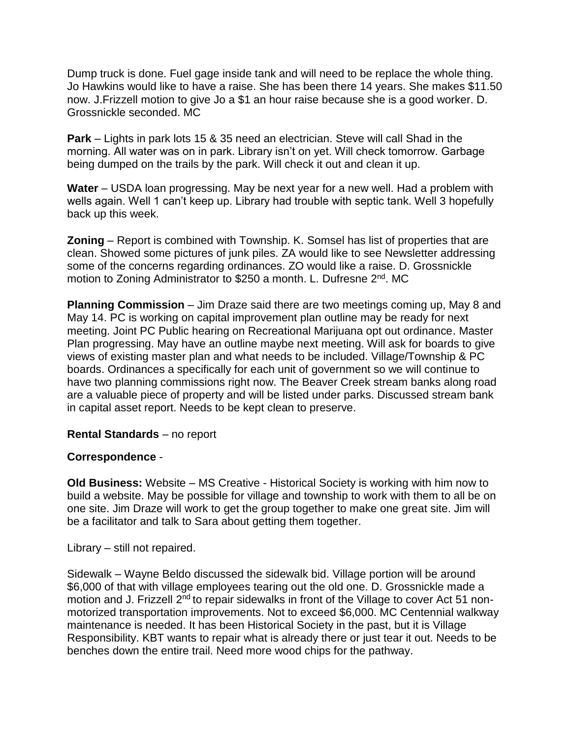Dump truck is done. Fuel gage inside tank and will need to be replace the whole thing. Jo Hawkins would like to have a raise. She has been there 14 years. She makes \$11.50 now. J.Frizzell motion to give Jo a \$1 an hour raise because she is a good worker. D. Grossnickle seconded. MC

**Park** – Lights in park lots 15 & 35 need an electrician. Steve will call Shad in the morning. All water was on in park. Library isn't on yet. Will check tomorrow. Garbage being dumped on the trails by the park. Will check it out and clean it up.

**Water** – USDA loan progressing. May be next year for a new well. Had a problem with wells again. Well 1 can't keep up. Library had trouble with septic tank. Well 3 hopefully back up this week.

**Zoning** – Report is combined with Township. K. Somsel has list of properties that are clean. Showed some pictures of junk piles. ZA would like to see Newsletter addressing some of the concerns regarding ordinances. ZO would like a raise. D. Grossnickle motion to Zoning Administrator to \$250 a month. L. Dufresne 2<sup>nd</sup>. MC

**Planning Commission** – Jim Draze said there are two meetings coming up, May 8 and May 14. PC is working on capital improvement plan outline may be ready for next meeting. Joint PC Public hearing on Recreational Marijuana opt out ordinance. Master Plan progressing. May have an outline maybe next meeting. Will ask for boards to give views of existing master plan and what needs to be included. Village/Township & PC boards. Ordinances a specifically for each unit of government so we will continue to have two planning commissions right now. The Beaver Creek stream banks along road are a valuable piece of property and will be listed under parks. Discussed stream bank in capital asset report. Needs to be kept clean to preserve.

# **Rental Standards** – no report

# **Correspondence** -

**Old Business:** Website – MS Creative - Historical Society is working with him now to build a website. May be possible for village and township to work with them to all be on one site. Jim Draze will work to get the group together to make one great site. Jim will be a facilitator and talk to Sara about getting them together.

Library – still not repaired.

Sidewalk – Wayne Beldo discussed the sidewalk bid. Village portion will be around \$6,000 of that with village employees tearing out the old one. D. Grossnickle made a motion and J. Frizzell 2<sup>nd</sup> to repair sidewalks in front of the Village to cover Act 51 nonmotorized transportation improvements. Not to exceed \$6,000. MC Centennial walkway maintenance is needed. It has been Historical Society in the past, but it is Village Responsibility. KBT wants to repair what is already there or just tear it out. Needs to be benches down the entire trail. Need more wood chips for the pathway.